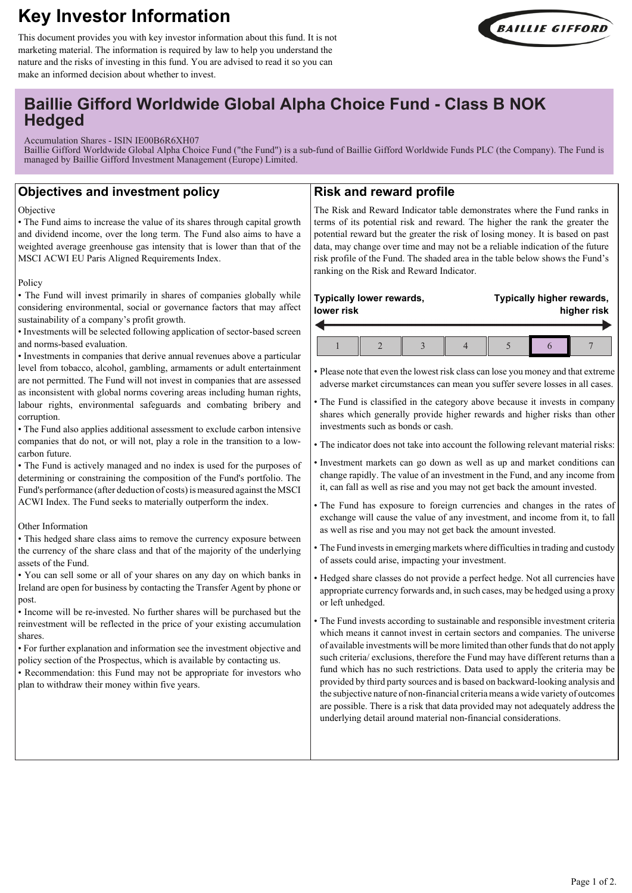# **Key Investor Information**







## **Baillie Gifford Worldwide Global Alpha Choice Fund - Class B NOK Hedged**

Accumulation Shares - ISIN IE00B6R6XH07

Baillie Gifford Worldwide Global Alpha Choice Fund ("the Fund") is a sub-fund of Baillie Gifford Worldwide Funds PLC (the Company). The Fund is managed by Baillie Gifford Investment Management (Europe) Limited.

## **Objectives and investment policy**

#### Objective

• The Fund aims to increase the value of its shares through capital growth and dividend income, over the long term. The Fund also aims to have a weighted average greenhouse gas intensity that is lower than that of the MSCI ACWI EU Paris Aligned Requirements Index.

#### Policy

• The Fund will invest primarily in shares of companies globally while considering environmental, social or governance factors that may affect sustainability of a company's profit growth.

• Investments will be selected following application of sector-based screen and norms-based evaluation.

• Investments in companies that derive annual revenues above a particular level from tobacco, alcohol, gambling, armaments or adult entertainment are not permitted. The Fund will not invest in companies that are assessed as inconsistent with global norms covering areas including human rights, labour rights, environmental safeguards and combating bribery and corruption.

• The Fund also applies additional assessment to exclude carbon intensive companies that do not, or will not, play a role in the transition to a lowcarbon future.

• The Fund is actively managed and no index is used for the purposes of determining or constraining the composition of the Fund's portfolio. The Fund's performance (after deduction of costs) is measured against the MSCI ACWI Index. The Fund seeks to materially outperform the index.

### Other Information

• This hedged share class aims to remove the currency exposure between the currency of the share class and that of the majority of the underlying assets of the Fund.

• You can sell some or all of your shares on any day on which banks in Ireland are open for business by contacting the Transfer Agent by phone or post.

• Income will be re-invested. No further shares will be purchased but the reinvestment will be reflected in the price of your existing accumulation shares.

• For further explanation and information see the investment objective and policy section of the Prospectus, which is available by contacting us.

• Recommendation: this Fund may not be appropriate for investors who plan to withdraw their money within five years.

## **Risk and reward profile**

The Risk and Reward Indicator table demonstrates where the Fund ranks in terms of its potential risk and reward. The higher the rank the greater the potential reward but the greater the risk of losing money. It is based on past data, may change over time and may not be a reliable indication of the future risk profile of the Fund. The shaded area in the table below shows the Fund's ranking on the Risk and Reward Indicator.

#### **Typically lower rewards, lower risk Typically higher rewards, higher risk**  $1 \parallel 2 \parallel 3 \parallel 4 \parallel 5 \parallel 6 \parallel 7$

• Please note that even the lowest risk class can lose you money and that extreme adverse market circumstances can mean you suffer severe losses in all cases.

• The Fund is classified in the category above because it invests in company shares which generally provide higher rewards and higher risks than other investments such as bonds or cash.

• The indicator does not take into account the following relevant material risks:

• Investment markets can go down as well as up and market conditions can change rapidly. The value of an investment in the Fund, and any income from it, can fall as well as rise and you may not get back the amount invested.

• The Fund has exposure to foreign currencies and changes in the rates of exchange will cause the value of any investment, and income from it, to fall as well as rise and you may not get back the amount invested.

• The Fund invests in emerging markets where difficulties in trading and custody of assets could arise, impacting your investment.

• Hedged share classes do not provide a perfect hedge. Not all currencies have appropriate currency forwards and, in such cases, may be hedged using a proxy or left unhedged.

• The Fund invests according to sustainable and responsible investment criteria which means it cannot invest in certain sectors and companies. The universe of available investments will be more limited than other funds that do not apply such criteria/ exclusions, therefore the Fund may have different returns than a fund which has no such restrictions. Data used to apply the criteria may be provided by third party sources and is based on backward-looking analysis and the subjective nature of non-financial criteria means a wide variety of outcomes are possible. There is a risk that data provided may not adequately address the underlying detail around material non-financial considerations.